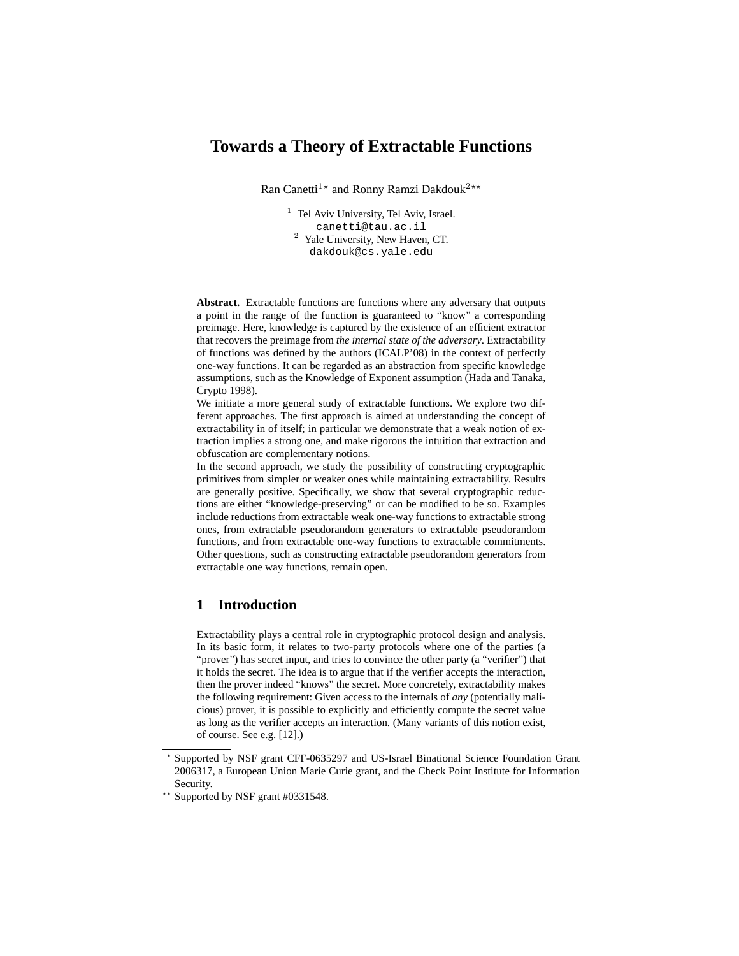# **Towards a Theory of Extractable Functions**

Ran Canetti<sup>1</sup><sup>\*</sup> and Ronny Ramzi Dakdouk<sup>2\*\*</sup>

<sup>1</sup> Tel Aviv University, Tel Aviv, Israel. canetti@tau.ac.il <sup>2</sup> Yale University, New Haven, CT. dakdouk@cs.yale.edu

**Abstract.** Extractable functions are functions where any adversary that outputs a point in the range of the function is guaranteed to "know" a corresponding preimage. Here, knowledge is captured by the existence of an efficient extractor that recovers the preimage from *the internal state of the adversary*. Extractability of functions was defined by the authors (ICALP'08) in the context of perfectly one-way functions. It can be regarded as an abstraction from specific knowledge assumptions, such as the Knowledge of Exponent assumption (Hada and Tanaka, Crypto 1998).

We initiate a more general study of extractable functions. We explore two different approaches. The first approach is aimed at understanding the concept of extractability in of itself; in particular we demonstrate that a weak notion of extraction implies a strong one, and make rigorous the intuition that extraction and obfuscation are complementary notions.

In the second approach, we study the possibility of constructing cryptographic primitives from simpler or weaker ones while maintaining extractability. Results are generally positive. Specifically, we show that several cryptographic reductions are either "knowledge-preserving" or can be modified to be so. Examples include reductions from extractable weak one-way functions to extractable strong ones, from extractable pseudorandom generators to extractable pseudorandom functions, and from extractable one-way functions to extractable commitments. Other questions, such as constructing extractable pseudorandom generators from extractable one way functions, remain open.

## **1 Introduction**

Extractability plays a central role in cryptographic protocol design and analysis. In its basic form, it relates to two-party protocols where one of the parties (a "prover") has secret input, and tries to convince the other party (a "verifier") that it holds the secret. The idea is to argue that if the verifier accepts the interaction, then the prover indeed "knows" the secret. More concretely, extractability makes the following requirement: Given access to the internals of *any* (potentially malicious) prover, it is possible to explicitly and efficiently compute the secret value as long as the verifier accepts an interaction. (Many variants of this notion exist, of course. See e.g. [12].)

<sup>?</sup> Supported by NSF grant CFF-0635297 and US-Israel Binational Science Foundation Grant 2006317, a European Union Marie Curie grant, and the Check Point Institute for Information Security.

<sup>\*\*</sup> Supported by NSF grant #0331548.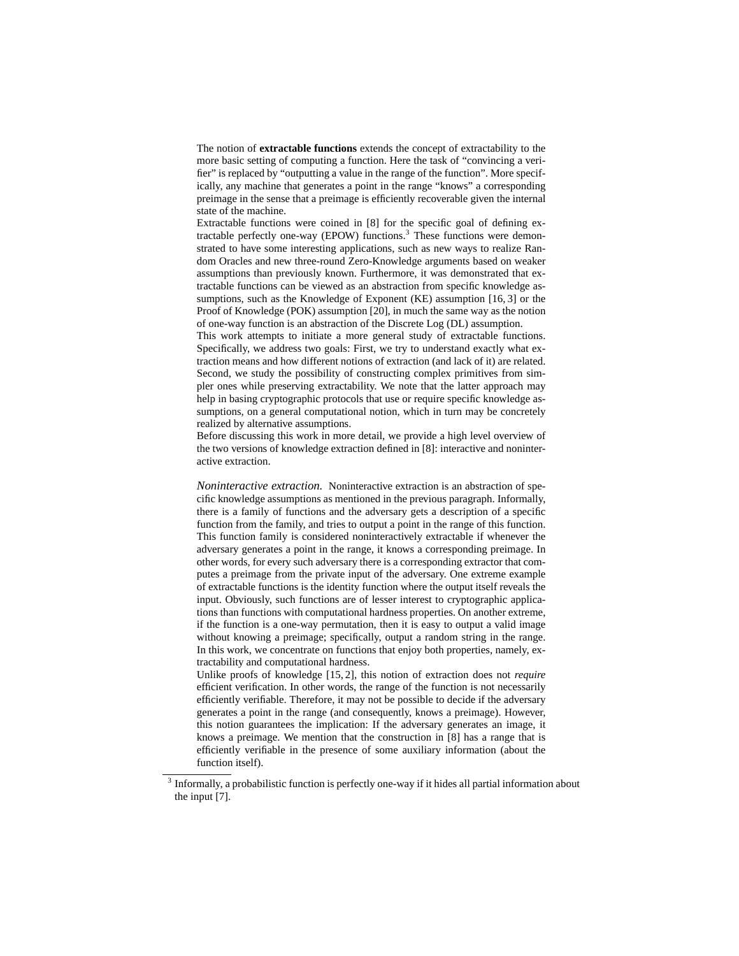The notion of **extractable functions** extends the concept of extractability to the more basic setting of computing a function. Here the task of "convincing a verifier" is replaced by "outputting a value in the range of the function". More specifically, any machine that generates a point in the range "knows" a corresponding preimage in the sense that a preimage is efficiently recoverable given the internal state of the machine.

Extractable functions were coined in [8] for the specific goal of defining extractable perfectly one-way (EPOW) functions.<sup>3</sup> These functions were demonstrated to have some interesting applications, such as new ways to realize Random Oracles and new three-round Zero-Knowledge arguments based on weaker assumptions than previously known. Furthermore, it was demonstrated that extractable functions can be viewed as an abstraction from specific knowledge assumptions, such as the Knowledge of Exponent (KE) assumption [16, 3] or the Proof of Knowledge (POK) assumption [20], in much the same way as the notion of one-way function is an abstraction of the Discrete Log (DL) assumption.

This work attempts to initiate a more general study of extractable functions. Specifically, we address two goals: First, we try to understand exactly what extraction means and how different notions of extraction (and lack of it) are related. Second, we study the possibility of constructing complex primitives from simpler ones while preserving extractability. We note that the latter approach may help in basing cryptographic protocols that use or require specific knowledge assumptions, on a general computational notion, which in turn may be concretely realized by alternative assumptions.

Before discussing this work in more detail, we provide a high level overview of the two versions of knowledge extraction defined in [8]: interactive and noninteractive extraction.

*Noninteractive extraction.* Noninteractive extraction is an abstraction of specific knowledge assumptions as mentioned in the previous paragraph. Informally, there is a family of functions and the adversary gets a description of a specific function from the family, and tries to output a point in the range of this function. This function family is considered noninteractively extractable if whenever the adversary generates a point in the range, it knows a corresponding preimage. In other words, for every such adversary there is a corresponding extractor that computes a preimage from the private input of the adversary. One extreme example of extractable functions is the identity function where the output itself reveals the input. Obviously, such functions are of lesser interest to cryptographic applications than functions with computational hardness properties. On another extreme, if the function is a one-way permutation, then it is easy to output a valid image without knowing a preimage; specifically, output a random string in the range. In this work, we concentrate on functions that enjoy both properties, namely, extractability and computational hardness.

Unlike proofs of knowledge [15, 2], this notion of extraction does not *require* efficient verification. In other words, the range of the function is not necessarily efficiently verifiable. Therefore, it may not be possible to decide if the adversary generates a point in the range (and consequently, knows a preimage). However, this notion guarantees the implication: If the adversary generates an image, it knows a preimage. We mention that the construction in [8] has a range that is efficiently verifiable in the presence of some auxiliary information (about the function itself).

 $3$  Informally, a probabilistic function is perfectly one-way if it hides all partial information about the input [7].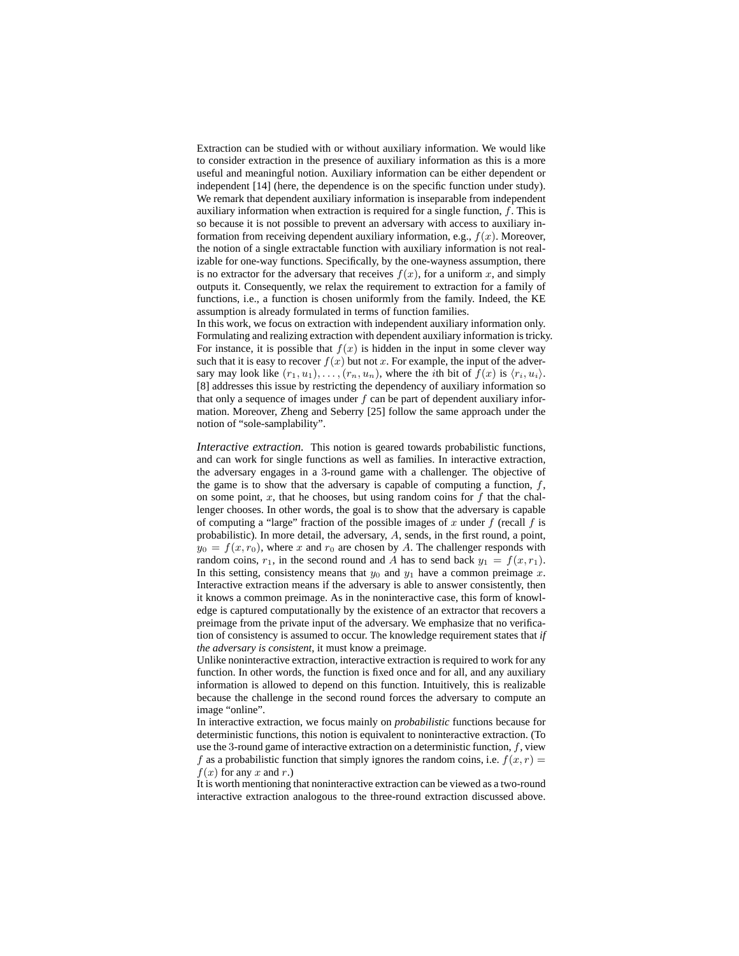Extraction can be studied with or without auxiliary information. We would like to consider extraction in the presence of auxiliary information as this is a more useful and meaningful notion. Auxiliary information can be either dependent or independent [14] (here, the dependence is on the specific function under study). We remark that dependent auxiliary information is inseparable from independent auxiliary information when extraction is required for a single function,  $f$ . This is so because it is not possible to prevent an adversary with access to auxiliary information from receiving dependent auxiliary information, e.g.,  $f(x)$ . Moreover, the notion of a single extractable function with auxiliary information is not realizable for one-way functions. Specifically, by the one-wayness assumption, there is no extractor for the adversary that receives  $f(x)$ , for a uniform x, and simply outputs it. Consequently, we relax the requirement to extraction for a family of functions, i.e., a function is chosen uniformly from the family. Indeed, the KE assumption is already formulated in terms of function families.

In this work, we focus on extraction with independent auxiliary information only. Formulating and realizing extraction with dependent auxiliary information is tricky. For instance, it is possible that  $f(x)$  is hidden in the input in some clever way such that it is easy to recover  $f(x)$  but not x. For example, the input of the adversary may look like  $(r_1, u_1), \ldots, (r_n, u_n)$ , where the *i*th bit of  $f(x)$  is  $\langle r_i, u_i \rangle$ . [8] addresses this issue by restricting the dependency of auxiliary information so that only a sequence of images under  $f$  can be part of dependent auxiliary information. Moreover, Zheng and Seberry [25] follow the same approach under the notion of "sole-samplability".

*Interactive extraction.* This notion is geared towards probabilistic functions, and can work for single functions as well as families. In interactive extraction, the adversary engages in a 3-round game with a challenger. The objective of the game is to show that the adversary is capable of computing a function,  $f$ , on some point,  $x$ , that he chooses, but using random coins for  $f$  that the challenger chooses. In other words, the goal is to show that the adversary is capable of computing a "large" fraction of the possible images of x under f (recall f is probabilistic). In more detail, the adversary, A, sends, in the first round, a point,  $y_0 = f(x, r_0)$ , where x and  $r_0$  are chosen by A. The challenger responds with random coins,  $r_1$ , in the second round and A has to send back  $y_1 = f(x, r_1)$ . In this setting, consistency means that  $y_0$  and  $y_1$  have a common preimage x. Interactive extraction means if the adversary is able to answer consistently, then it knows a common preimage. As in the noninteractive case, this form of knowledge is captured computationally by the existence of an extractor that recovers a preimage from the private input of the adversary. We emphasize that no verification of consistency is assumed to occur. The knowledge requirement states that *if the adversary is consistent*, it must know a preimage.

Unlike noninteractive extraction, interactive extraction is required to work for any function. In other words, the function is fixed once and for all, and any auxiliary information is allowed to depend on this function. Intuitively, this is realizable because the challenge in the second round forces the adversary to compute an image "online".

In interactive extraction, we focus mainly on *probabilistic* functions because for deterministic functions, this notion is equivalent to noninteractive extraction. (To use the 3-round game of interactive extraction on a deterministic function,  $f$ , view f as a probabilistic function that simply ignores the random coins, i.e.  $f(x, r) =$  $f(x)$  for any x and r.)

It is worth mentioning that noninteractive extraction can be viewed as a two-round interactive extraction analogous to the three-round extraction discussed above.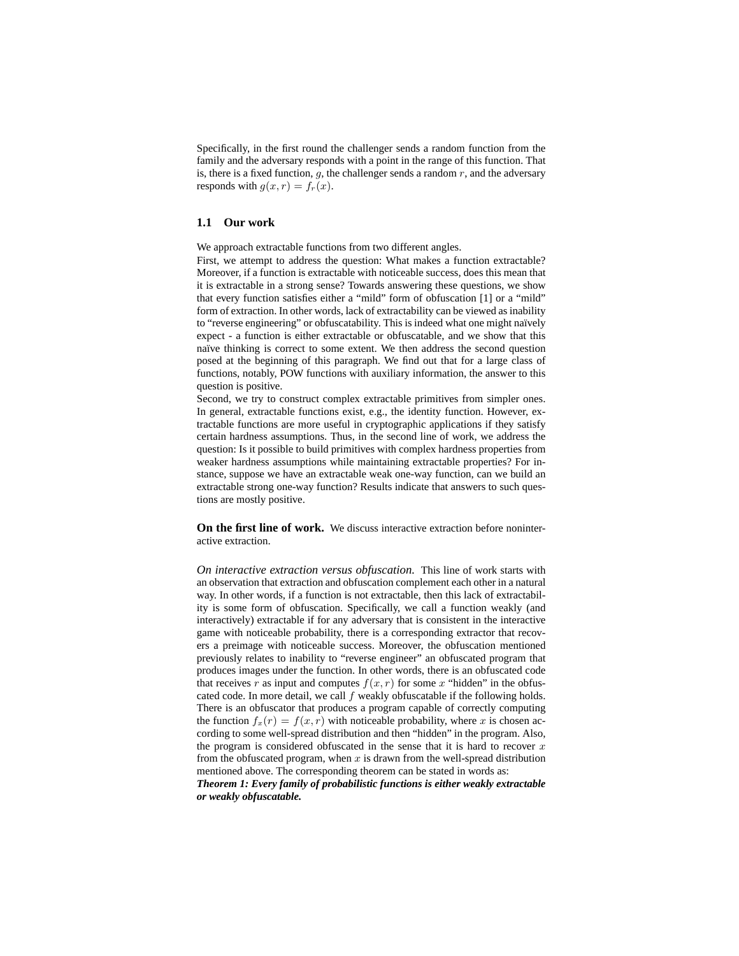Specifically, in the first round the challenger sends a random function from the family and the adversary responds with a point in the range of this function. That is, there is a fixed function,  $g$ , the challenger sends a random  $r$ , and the adversary responds with  $g(x, r) = f_r(x)$ .

#### **1.1 Our work**

We approach extractable functions from two different angles.

First, we attempt to address the question: What makes a function extractable? Moreover, if a function is extractable with noticeable success, does this mean that it is extractable in a strong sense? Towards answering these questions, we show that every function satisfies either a "mild" form of obfuscation [1] or a "mild" form of extraction. In other words, lack of extractability can be viewed as inability to "reverse engineering" or obfuscatability. This is indeed what one might naïvely expect - a function is either extractable or obfuscatable, and we show that this naïve thinking is correct to some extent. We then address the second question posed at the beginning of this paragraph. We find out that for a large class of functions, notably, POW functions with auxiliary information, the answer to this question is positive.

Second, we try to construct complex extractable primitives from simpler ones. In general, extractable functions exist, e.g., the identity function. However, extractable functions are more useful in cryptographic applications if they satisfy certain hardness assumptions. Thus, in the second line of work, we address the question: Is it possible to build primitives with complex hardness properties from weaker hardness assumptions while maintaining extractable properties? For instance, suppose we have an extractable weak one-way function, can we build an extractable strong one-way function? Results indicate that answers to such questions are mostly positive.

**On the first line of work.** We discuss interactive extraction before noninteractive extraction.

*On interactive extraction versus obfuscation.* This line of work starts with an observation that extraction and obfuscation complement each other in a natural way. In other words, if a function is not extractable, then this lack of extractability is some form of obfuscation. Specifically, we call a function weakly (and interactively) extractable if for any adversary that is consistent in the interactive game with noticeable probability, there is a corresponding extractor that recovers a preimage with noticeable success. Moreover, the obfuscation mentioned previously relates to inability to "reverse engineer" an obfuscated program that produces images under the function. In other words, there is an obfuscated code that receives r as input and computes  $f(x, r)$  for some x "hidden" in the obfuscated code. In more detail, we call  $f$  weakly obfuscatable if the following holds. There is an obfuscator that produces a program capable of correctly computing the function  $f_x(r) = f(x, r)$  with noticeable probability, where x is chosen according to some well-spread distribution and then "hidden" in the program. Also, the program is considered obfuscated in the sense that it is hard to recover  $x$ from the obfuscated program, when  $x$  is drawn from the well-spread distribution mentioned above. The corresponding theorem can be stated in words as:

*Theorem 1: Every family of probabilistic functions is either weakly extractable or weakly obfuscatable.*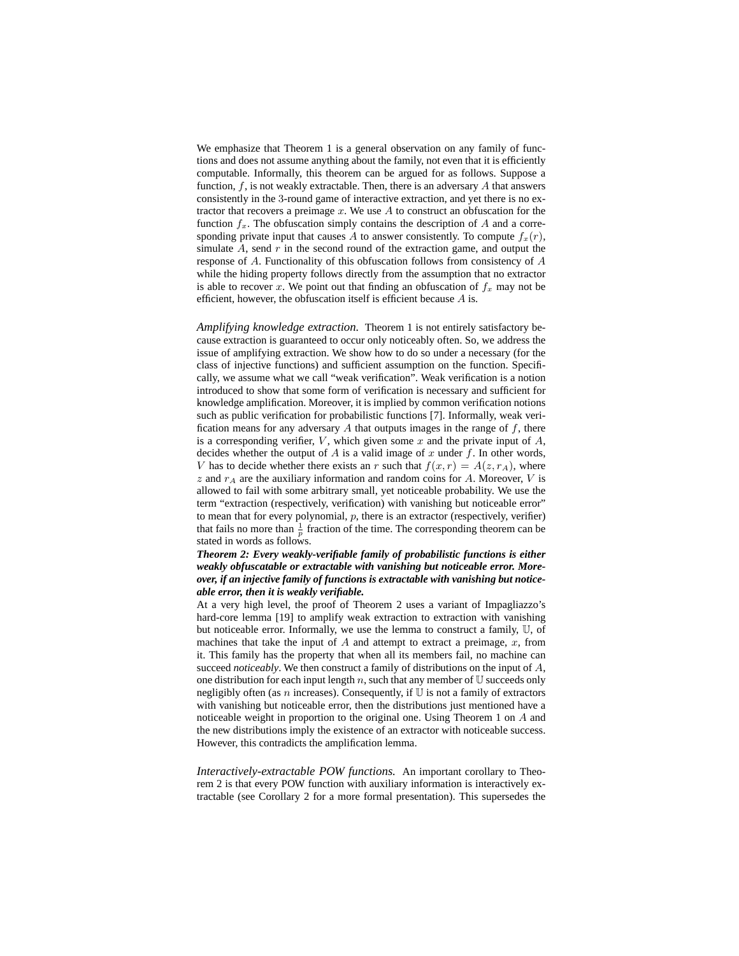We emphasize that Theorem 1 is a general observation on any family of functions and does not assume anything about the family, not even that it is efficiently computable. Informally, this theorem can be argued for as follows. Suppose a function,  $f$ , is not weakly extractable. Then, there is an adversary  $A$  that answers consistently in the 3-round game of interactive extraction, and yet there is no extractor that recovers a preimage  $x$ . We use  $A$  to construct an obfuscation for the function  $f_x$ . The obfuscation simply contains the description of A and a corresponding private input that causes A to answer consistently. To compute  $f_x(r)$ , simulate  $A$ , send  $r$  in the second round of the extraction game, and output the response of A. Functionality of this obfuscation follows from consistency of  $A$ while the hiding property follows directly from the assumption that no extractor is able to recover x. We point out that finding an obfuscation of  $f_x$  may not be efficient, however, the obfuscation itself is efficient because  $A$  is.

*Amplifying knowledge extraction.* Theorem 1 is not entirely satisfactory because extraction is guaranteed to occur only noticeably often. So, we address the issue of amplifying extraction. We show how to do so under a necessary (for the class of injective functions) and sufficient assumption on the function. Specifically, we assume what we call "weak verification". Weak verification is a notion introduced to show that some form of verification is necessary and sufficient for knowledge amplification. Moreover, it is implied by common verification notions such as public verification for probabilistic functions [7]. Informally, weak verification means for any adversary  $A$  that outputs images in the range of  $f$ , there is a corresponding verifier,  $V$ , which given some  $x$  and the private input of  $A$ , decides whether the output of A is a valid image of x under f. In other words, V has to decide whether there exists an r such that  $f(x, r) = A(z, r_A)$ , where  $z$  and  $r_A$  are the auxiliary information and random coins for A. Moreover,  $V$  is allowed to fail with some arbitrary small, yet noticeable probability. We use the term "extraction (respectively, verification) with vanishing but noticeable error" to mean that for every polynomial,  $p$ , there is an extractor (respectively, verifier) that fails no more than  $\frac{1}{p}$  fraction of the time. The corresponding theorem can be stated in words as follows.

### *Theorem 2: Every weakly-verifiable family of probabilistic functions is either weakly obfuscatable or extractable with vanishing but noticeable error. Moreover, if an injective family of functions is extractable with vanishing but noticeable error, then it is weakly verifiable.*

At a very high level, the proof of Theorem 2 uses a variant of Impagliazzo's hard-core lemma [19] to amplify weak extraction to extraction with vanishing but noticeable error. Informally, we use the lemma to construct a family, U, of machines that take the input of  $A$  and attempt to extract a preimage,  $x$ , from it. This family has the property that when all its members fail, no machine can succeed *noticeably*. We then construct a family of distributions on the input of A, one distribution for each input length  $n$ , such that any member of  $U$  succeeds only negligibly often (as  $n$  increases). Consequently, if  $U$  is not a family of extractors with vanishing but noticeable error, then the distributions just mentioned have a noticeable weight in proportion to the original one. Using Theorem 1 on A and the new distributions imply the existence of an extractor with noticeable success. However, this contradicts the amplification lemma.

*Interactively-extractable POW functions.* An important corollary to Theorem 2 is that every POW function with auxiliary information is interactively extractable (see Corollary 2 for a more formal presentation). This supersedes the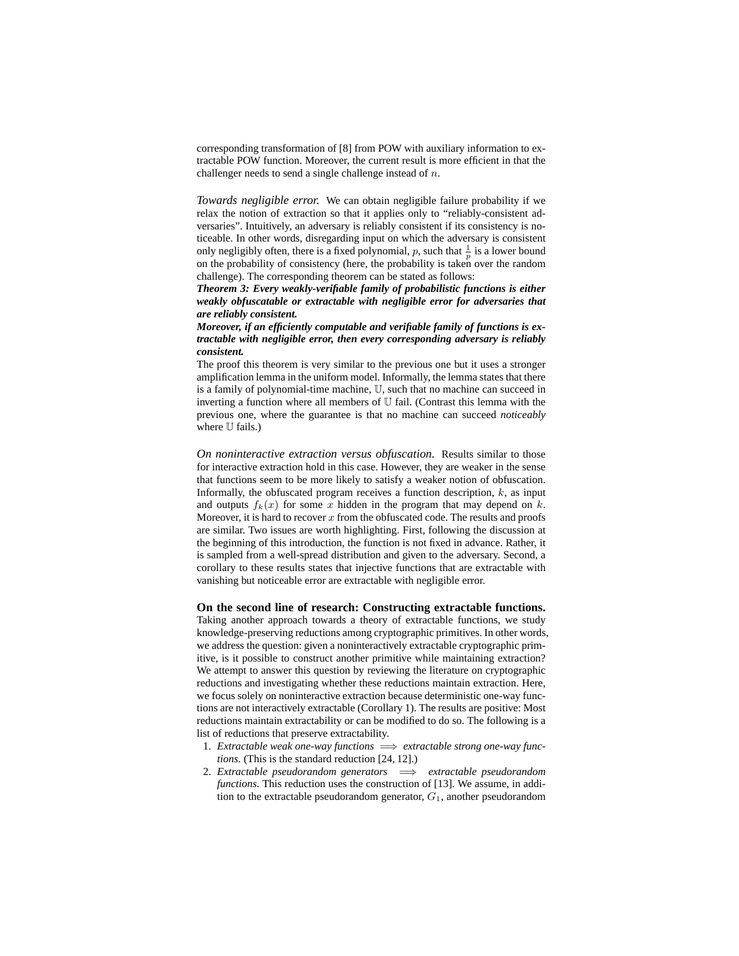corresponding transformation of [8] from POW with auxiliary information to extractable POW function. Moreover, the current result is more efficient in that the challenger needs to send a single challenge instead of  $n$ .

*Towards negligible error.* We can obtain negligible failure probability if we relax the notion of extraction so that it applies only to "reliably-consistent adversaries". Intuitively, an adversary is reliably consistent if its consistency is noticeable. In other words, disregarding input on which the adversary is consistent only negligibly often, there is a fixed polynomial, p, such that  $\frac{1}{p}$  is a lower bound on the probability of consistency (here, the probability is taken over the random challenge). The corresponding theorem can be stated as follows:

*Theorem 3: Every weakly-verifiable family of probabilistic functions is either weakly obfuscatable or extractable with negligible error for adversaries that are reliably consistent.*

#### *Moreover, if an efficiently computable and verifiable family of functions is extractable with negligible error, then every corresponding adversary is reliably consistent.*

The proof this theorem is very similar to the previous one but it uses a stronger amplification lemma in the uniform model. Informally, the lemma states that there is a family of polynomial-time machine, U, such that no machine can succeed in inverting a function where all members of U fail. (Contrast this lemma with the previous one, where the guarantee is that no machine can succeed *noticeably* where U fails.)

*On noninteractive extraction versus obfuscation.* Results similar to those for interactive extraction hold in this case. However, they are weaker in the sense that functions seem to be more likely to satisfy a weaker notion of obfuscation. Informally, the obfuscated program receives a function description,  $k$ , as input and outputs  $f_k(x)$  for some x hidden in the program that may depend on k. Moreover, it is hard to recover  $x$  from the obfuscated code. The results and proofs are similar. Two issues are worth highlighting. First, following the discussion at the beginning of this introduction, the function is not fixed in advance. Rather, it is sampled from a well-spread distribution and given to the adversary. Second, a corollary to these results states that injective functions that are extractable with vanishing but noticeable error are extractable with negligible error.

#### **On the second line of research: Constructing extractable functions.**

Taking another approach towards a theory of extractable functions, we study knowledge-preserving reductions among cryptographic primitives. In other words, we address the question: given a noninteractively extractable cryptographic primitive, is it possible to construct another primitive while maintaining extraction? We attempt to answer this question by reviewing the literature on cryptographic reductions and investigating whether these reductions maintain extraction. Here, we focus solely on noninteractive extraction because deterministic one-way functions are not interactively extractable (Corollary 1). The results are positive: Most reductions maintain extractability or can be modified to do so. The following is a list of reductions that preserve extractability.

- 1. *Extractable weak one-way functions* =⇒ *extractable strong one-way functions.* (This is the standard reduction [24, 12].)
- 2. *Extractable pseudorandom generators* =⇒ *extractable pseudorandom functions*. This reduction uses the construction of [13]. We assume, in addition to the extractable pseudorandom generator,  $G_1$ , another pseudorandom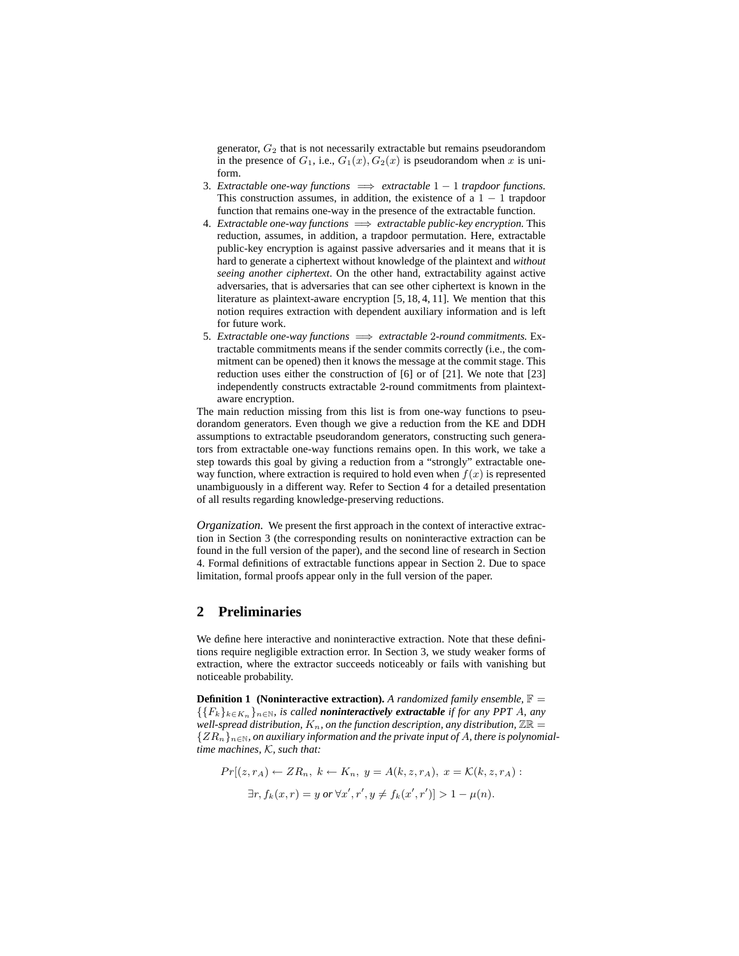generator,  $G_2$  that is not necessarily extractable but remains pseudorandom in the presence of  $G_1$ , i.e.,  $G_1(x)$ ,  $G_2(x)$  is pseudorandom when x is uniform.

- 3. *Extractable one-way functions*  $\implies$  *extractable*  $1 1$  *trapdoor functions.* This construction assumes, in addition, the existence of a  $1 - 1$  trapdoor function that remains one-way in the presence of the extractable function.
- 4. *Extractable one-way functions* =⇒ *extractable public-key encryption.* This reduction, assumes, in addition, a trapdoor permutation. Here, extractable public-key encryption is against passive adversaries and it means that it is hard to generate a ciphertext without knowledge of the plaintext and *without seeing another ciphertext*. On the other hand, extractability against active adversaries, that is adversaries that can see other ciphertext is known in the literature as plaintext-aware encryption [5, 18, 4, 11]. We mention that this notion requires extraction with dependent auxiliary information and is left for future work.
- 5. *Extractable one-way functions* ⇒ *extractable 2-round commitments*. Extractable commitments means if the sender commits correctly (i.e., the commitment can be opened) then it knows the message at the commit stage. This reduction uses either the construction of [6] or of [21]. We note that [23] independently constructs extractable 2-round commitments from plaintextaware encryption.

The main reduction missing from this list is from one-way functions to pseudorandom generators. Even though we give a reduction from the KE and DDH assumptions to extractable pseudorandom generators, constructing such generators from extractable one-way functions remains open. In this work, we take a step towards this goal by giving a reduction from a "strongly" extractable oneway function, where extraction is required to hold even when  $f(x)$  is represented unambiguously in a different way. Refer to Section 4 for a detailed presentation of all results regarding knowledge-preserving reductions.

*Organization.* We present the first approach in the context of interactive extraction in Section 3 (the corresponding results on noninteractive extraction can be found in the full version of the paper), and the second line of research in Section 4. Formal definitions of extractable functions appear in Section 2. Due to space limitation, formal proofs appear only in the full version of the paper.

### **2 Preliminaries**

We define here interactive and noninteractive extraction. Note that these definitions require negligible extraction error. In Section 3, we study weaker forms of extraction, where the extractor succeeds noticeably or fails with vanishing but noticeable probability.

**Definition 1 (Noninteractive extraction).** *A randomized family ensemble,*  $\mathbb{F}$  = {{Fk}k∈K<sup>n</sup> }n∈<sup>N</sup>*, is called noninteractively extractable if for any PPT* A*, any well-spread distribution,*  $K_n$ *, on the function description, any distribution,*  $\mathbb{Z}\mathbb{R}$  =  ${ZR_n}_{n\in\mathbb{N}}$ , on auxiliary information and the private input of A, there is polynomial*time machines,* K*, such that:*

$$
Pr[(z, r_A) \leftarrow ZR_n, k \leftarrow K_n, y = A(k, z, r_A), x = \mathcal{K}(k, z, r_A) :
$$
  

$$
\exists r, f_k(x, r) = y \text{ or } \forall x', r', y \neq f_k(x', r')] > 1 - \mu(n).
$$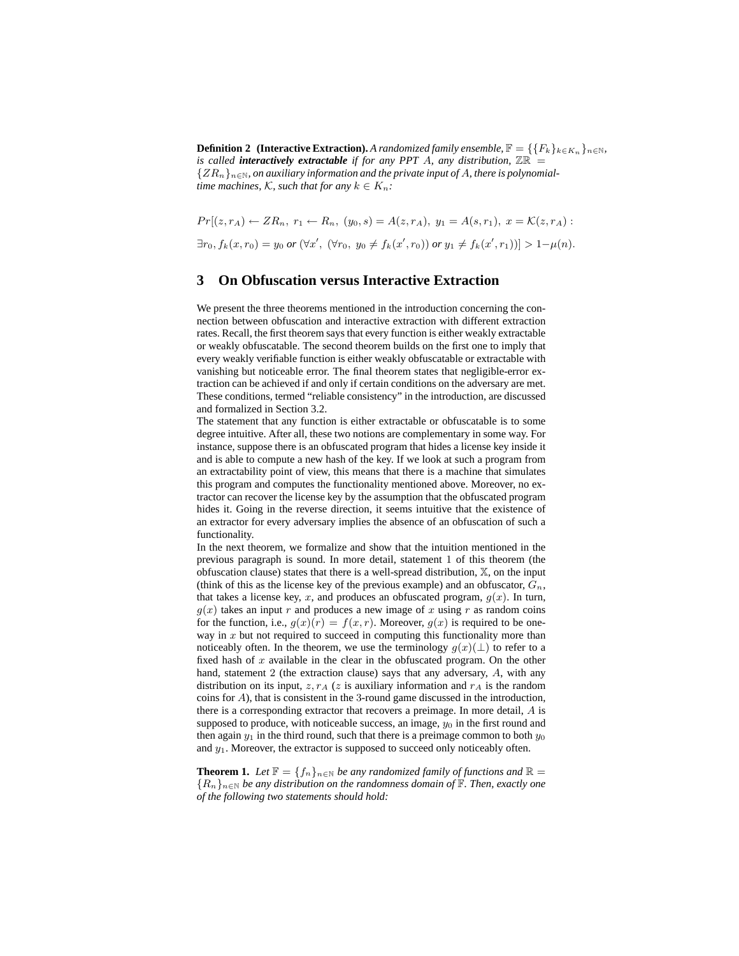**Definition 2 (Interactive Extraction).** *A randomized family ensemble,*  $\mathbb{F} = \{ \{F_k\}_{k \in K_n} \}_{n \in \mathbb{N}}$ , *is called interactively extractable if for any PPT A, any distribution,*  $\mathbb{Z}\mathbb{R}$  = {ZRn}n∈<sup>N</sup>*, on auxiliary information and the private input of* A*, there is polynomialtime machines,*  $K$ *, such that for any*  $k \in K_n$ *:* 

$$
Pr[(z, r_A) \leftarrow ZR_n, r_1 \leftarrow R_n, (y_0, s) = A(z, r_A), y_1 = A(s, r_1), x = \mathcal{K}(z, r_A):
$$
  

$$
\exists r_0, f_k(x, r_0) = y_0 \text{ or } (\forall x', (\forall r_0, y_0 \neq f_k(x', r_0)) \text{ or } y_1 \neq f_k(x', r_1))] > 1 - \mu(n).
$$

### **3 On Obfuscation versus Interactive Extraction**

We present the three theorems mentioned in the introduction concerning the connection between obfuscation and interactive extraction with different extraction rates. Recall, the first theorem says that every function is either weakly extractable or weakly obfuscatable. The second theorem builds on the first one to imply that every weakly verifiable function is either weakly obfuscatable or extractable with vanishing but noticeable error. The final theorem states that negligible-error extraction can be achieved if and only if certain conditions on the adversary are met. These conditions, termed "reliable consistency" in the introduction, are discussed and formalized in Section 3.2.

The statement that any function is either extractable or obfuscatable is to some degree intuitive. After all, these two notions are complementary in some way. For instance, suppose there is an obfuscated program that hides a license key inside it and is able to compute a new hash of the key. If we look at such a program from an extractability point of view, this means that there is a machine that simulates this program and computes the functionality mentioned above. Moreover, no extractor can recover the license key by the assumption that the obfuscated program hides it. Going in the reverse direction, it seems intuitive that the existence of an extractor for every adversary implies the absence of an obfuscation of such a functionality.

In the next theorem, we formalize and show that the intuition mentioned in the previous paragraph is sound. In more detail, statement 1 of this theorem (the obfuscation clause) states that there is a well-spread distribution,  $X$ , on the input (think of this as the license key of the previous example) and an obfuscator,  $G_n$ , that takes a license key, x, and produces an obfuscated program,  $g(x)$ . In turn,  $g(x)$  takes an input r and produces a new image of x using r as random coins for the function, i.e.,  $g(x)(r) = f(x, r)$ . Moreover,  $g(x)$  is required to be oneway in  $x$  but not required to succeed in computing this functionality more than noticeably often. In the theorem, we use the terminology  $g(x)(\perp)$  to refer to a fixed hash of  $x$  available in the clear in the obfuscated program. On the other hand, statement 2 (the extraction clause) says that any adversary, A, with any distribution on its input,  $z, r_A$  (z is auxiliary information and  $r_A$  is the random coins for A), that is consistent in the 3-round game discussed in the introduction, there is a corresponding extractor that recovers a preimage. In more detail, A is supposed to produce, with noticeable success, an image,  $y_0$  in the first round and then again  $y_1$  in the third round, such that there is a preimage common to both  $y_0$ and  $y_1$ . Moreover, the extractor is supposed to succeed only noticeably often.

**Theorem 1.** *Let*  $\mathbb{F} = \{f_n\}_{n \in \mathbb{N}}$  *be any randomized family of functions and*  $\mathbb{R} =$ {Rn}n∈<sup>N</sup> *be any distribution on the randomness domain of* F*. Then, exactly one of the following two statements should hold:*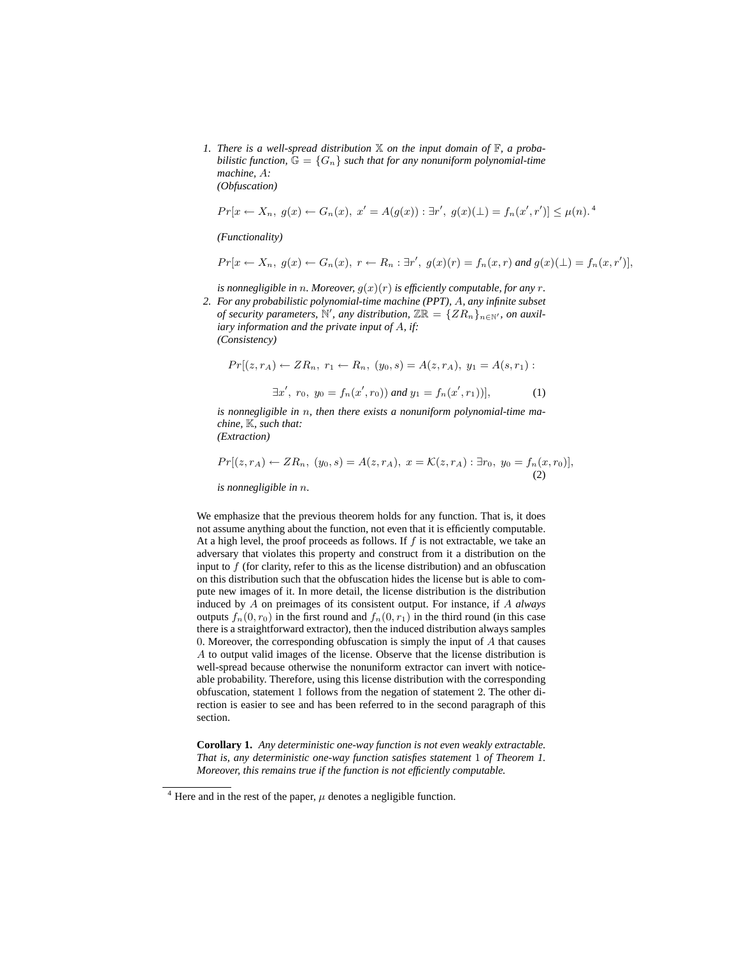*1. There is a well-spread distribution* X *on the input domain of* F*, a probabilistic function,*  $\mathbb{G} = \{G_n\}$  *such that for any nonuniform polynomial-time machine,* A*: (Obfuscation)*

$$
Pr[x \leftarrow X_n, g(x) \leftarrow G_n(x), x' = A(g(x)) : \exists r', g(x) \land (1) = f_n(x', r') \leq \mu(n).^{4}
$$

*(Functionality)*

$$
Pr[x \leftarrow X_n, g(x) \leftarrow G_n(x), r \leftarrow R_n : \exists r', g(x)(r) = f_n(x,r) \text{ and } g(x)(\bot) = f_n(x,r')],
$$

*is nonnegligible in n. Moreover,*  $g(x)(r)$  *is efficiently computable, for any r*.

*2. For any probabilistic polynomial-time machine (PPT),* A*, any infinite subset of security parameters,*  $\mathbb{N}'$ , any distribution,  $\mathbb{Z}\mathbb{R} = \{ZR_n\}_{n\in\mathbb{N}'}$ , on auxil*iary information and the private input of* A*, if: (Consistency)*

$$
Pr[(z, r_A) \leftarrow ZR_n, r_1 \leftarrow R_n, (y_0, s) = A(z, r_A), y_1 = A(s, r_1):
$$
  

$$
\exists x', r_0, y_0 = f_n(x', r_0) \text{ and } y_1 = f_n(x', r_1))],
$$
 (1)

*is nonnegligible in* n*, then there exists a nonuniform polynomial-time machine,* K*, such that: (Extraction)*

$$
Pr[(z, r_A) \leftarrow ZR_n, (y_0, s) = A(z, r_A), x = K(z, r_A) : \exists r_0, y_0 = f_n(x, r_0)],
$$
  
is nonnegligible in n. (2)

We emphasize that the previous theorem holds for any function. That is, it does not assume anything about the function, not even that it is efficiently computable. At a high level, the proof proceeds as follows. If  $f$  is not extractable, we take an adversary that violates this property and construct from it a distribution on the input to  $f$  (for clarity, refer to this as the license distribution) and an obfuscation on this distribution such that the obfuscation hides the license but is able to compute new images of it. In more detail, the license distribution is the distribution induced by A on preimages of its consistent output. For instance, if A *always* outputs  $f_n(0, r_0)$  in the first round and  $f_n(0, r_1)$  in the third round (in this case there is a straightforward extractor), then the induced distribution always samples 0. Moreover, the corresponding obfuscation is simply the input of  $A$  that causes A to output valid images of the license. Observe that the license distribution is well-spread because otherwise the nonuniform extractor can invert with noticeable probability. Therefore, using this license distribution with the corresponding obfuscation, statement 1 follows from the negation of statement 2. The other direction is easier to see and has been referred to in the second paragraph of this section.

**Corollary 1.** *Any deterministic one-way function is not even weakly extractable. That is, any deterministic one-way function satisfies statement* 1 *of Theorem 1. Moreover, this remains true if the function is not efficiently computable.*

 $4$  Here and in the rest of the paper,  $\mu$  denotes a negligible function.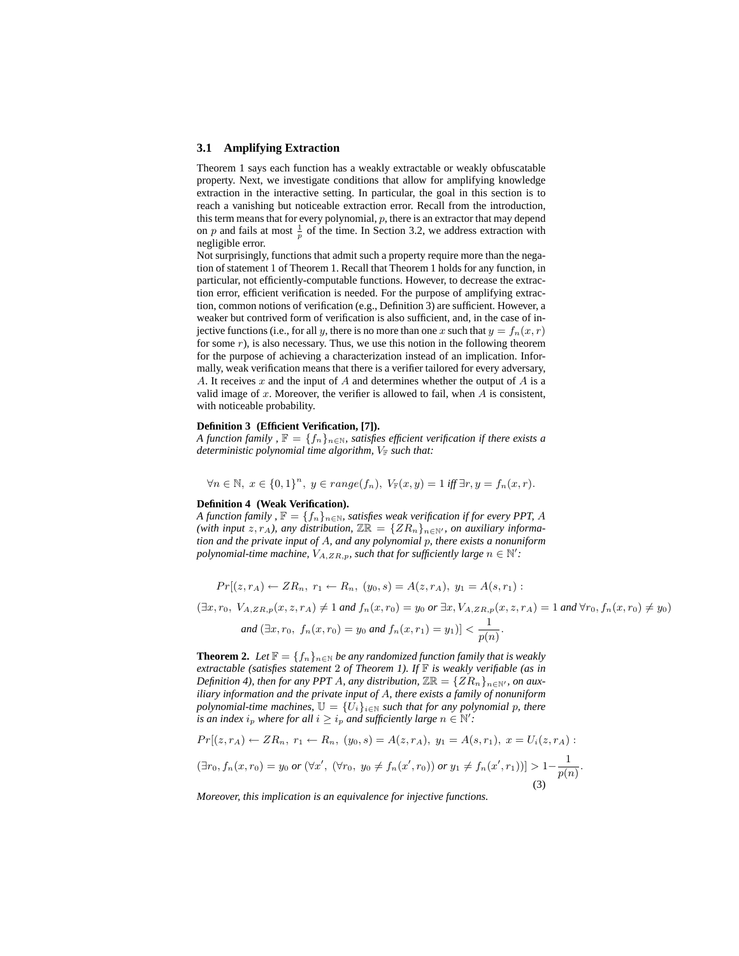#### **3.1 Amplifying Extraction**

Theorem 1 says each function has a weakly extractable or weakly obfuscatable property. Next, we investigate conditions that allow for amplifying knowledge extraction in the interactive setting. In particular, the goal in this section is to reach a vanishing but noticeable extraction error. Recall from the introduction, this term means that for every polynomial,  $p$ , there is an extractor that may depend on p and fails at most  $\frac{1}{p}$  of the time. In Section 3.2, we address extraction with negligible error.

Not surprisingly, functions that admit such a property require more than the negation of statement 1 of Theorem 1. Recall that Theorem 1 holds for any function, in particular, not efficiently-computable functions. However, to decrease the extraction error, efficient verification is needed. For the purpose of amplifying extraction, common notions of verification (e.g., Definition 3) are sufficient. However, a weaker but contrived form of verification is also sufficient, and, in the case of injective functions (i.e., for all y, there is no more than one x such that  $y = f_n(x, r)$ for some  $r$ ), is also necessary. Thus, we use this notion in the following theorem for the purpose of achieving a characterization instead of an implication. Informally, weak verification means that there is a verifier tailored for every adversary, A. It receives x and the input of A and determines whether the output of A is a valid image of x. Moreover, the verifier is allowed to fail, when  $A$  is consistent, with noticeable probability.

#### **Definition 3 (Efficient Verification, [7]).**

*A function family* ,  $\mathbb{F} = \{f_n\}_{n \in \mathbb{N}}$ , satisfies efficient verification if there exists a *deterministic polynomial time algorithm,*  $V_F$  *such that:* 

$$
\forall n \in \mathbb{N}, x \in \{0,1\}^n, y \in range(f_n), V_{\mathbb{F}}(x,y) = 1 \text{ iff } \exists r, y = f_n(x,r).
$$

#### **Definition 4 (Weak Verification).**

*A function family* ,  $\mathbb{F} = \{f_n\}_{n \in \mathbb{N}}$ , satisfies weak verification if for every PPT, A (with input  $z, r_A$ ), any distribution,  $\mathbb{Z}\mathbb{R} = \{ZR_n\}_{n \in \mathbb{N}}$ , on auxiliary informa*tion and the private input of* A*, and any polynomial* p*, there exists a nonuniform* polynomial-time machine,  $V_{A,ZR,p}$ , such that for sufficiently large  $n \in \mathbb{N}'$ :

$$
Pr[(z, r_A) \leftarrow ZR_n, r_1 \leftarrow R_n, (y_0, s) = A(z, r_A), y_1 = A(s, r_1):
$$

 $(\exists x, r_0, V_{A,ZR,p}(x, z, r_A) \neq 1$  *and*  $f_n(x, r_0) = y_0$  or  $\exists x, V_{A,ZR,p}(x, z, r_A) = 1$  *and*  $\forall r_0, f_n(x, r_0) \neq y_0$ 

.

and 
$$
(\exists x, r_0, f_n(x, r_0) = y_0 \text{ and } f_n(x, r_1) = y_1)] < \frac{1}{p(n)}
$$

**Theorem 2.** *Let*  $\mathbb{F} = \{f_n\}_{n\in\mathbb{N}}$  *be any randomized function family that is weakly extractable (satisfies statement* 2 *of Theorem 1). If* F *is weakly verifiable (as in Definition 4), then for any PPT A, any distribution,*  $\mathbb{Z}\mathbb{R} = \{ZR_n\}_{n\in\mathbb{N}'},$  *on auxiliary information and the private input of* A*, there exists a family of nonuniform polynomial-time machines,*  $\mathbb{U} = \{U_i\}_{i \in \mathbb{N}}$  *such that for any polynomial p, there is an index*  $i_p$  *where for all*  $i \geq i_p$  *and sufficiently large*  $n \in \mathbb{N}'$ :

$$
Pr[(z, r_A) \leftarrow ZR_n, r_1 \leftarrow R_n, (y_0, s) = A(z, r_A), y_1 = A(s, r_1), x = U_i(z, r_A):
$$
  

$$
(\exists r_0, f_n(x, r_0) = y_0 \text{ or } (\forall x', (\forall r_0, y_0 \neq f_n(x', r_0)) \text{ or } y_1 \neq f_n(x', r_1))] > 1 - \frac{1}{p(n)}.
$$
  
(3)

*Moreover, this implication is an equivalence for injective functions.*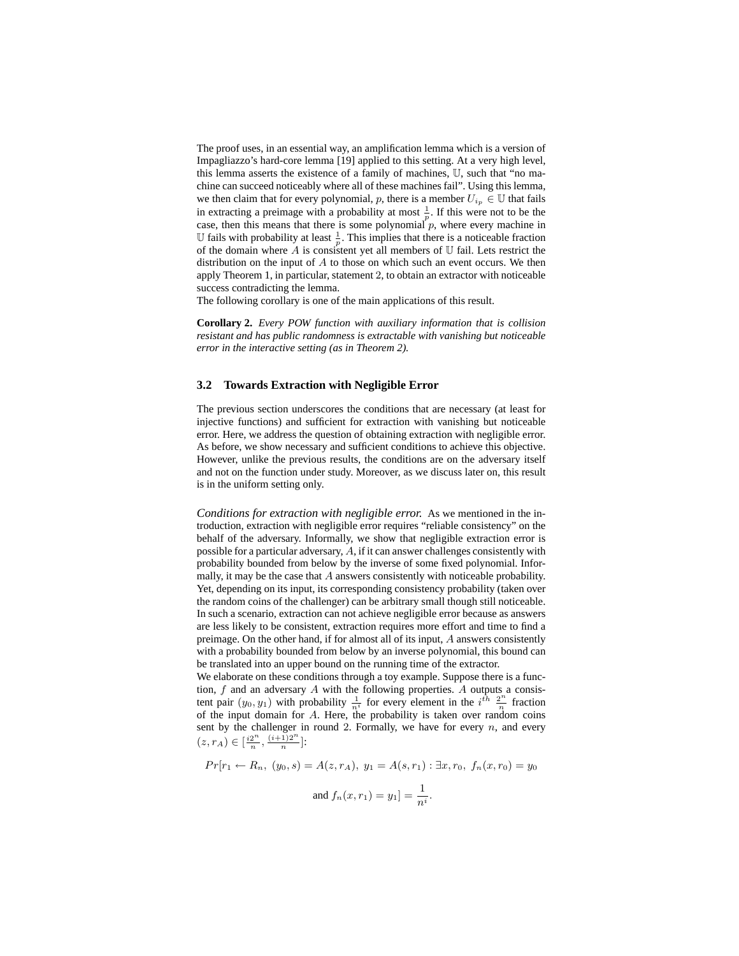The proof uses, in an essential way, an amplification lemma which is a version of Impagliazzo's hard-core lemma [19] applied to this setting. At a very high level, this lemma asserts the existence of a family of machines, U, such that "no machine can succeed noticeably where all of these machines fail". Using this lemma, we then claim that for every polynomial, p, there is a member  $U_{i_p} \in \mathbb{U}$  that fails in extracting a preimage with a probability at most  $\frac{1}{p}$ . If this were not to be the case, then this means that there is some polynomial  $p$ , where every machine in U fails with probability at least  $\frac{1}{p}$ . This implies that there is a noticeable fraction of the domain where  $A$  is consistent yet all members of  $U$  fail. Lets restrict the distribution on the input of  $A$  to those on which such an event occurs. We then apply Theorem 1, in particular, statement 2, to obtain an extractor with noticeable success contradicting the lemma.

The following corollary is one of the main applications of this result.

**Corollary 2.** *Every POW function with auxiliary information that is collision resistant and has public randomness is extractable with vanishing but noticeable error in the interactive setting (as in Theorem 2).*

### **3.2 Towards Extraction with Negligible Error**

The previous section underscores the conditions that are necessary (at least for injective functions) and sufficient for extraction with vanishing but noticeable error. Here, we address the question of obtaining extraction with negligible error. As before, we show necessary and sufficient conditions to achieve this objective. However, unlike the previous results, the conditions are on the adversary itself and not on the function under study. Moreover, as we discuss later on, this result is in the uniform setting only.

*Conditions for extraction with negligible error.* As we mentioned in the introduction, extraction with negligible error requires "reliable consistency" on the behalf of the adversary. Informally, we show that negligible extraction error is possible for a particular adversary, A, if it can answer challenges consistently with probability bounded from below by the inverse of some fixed polynomial. Informally, it may be the case that  $A$  answers consistently with noticeable probability. Yet, depending on its input, its corresponding consistency probability (taken over the random coins of the challenger) can be arbitrary small though still noticeable. In such a scenario, extraction can not achieve negligible error because as answers are less likely to be consistent, extraction requires more effort and time to find a preimage. On the other hand, if for almost all of its input, A answers consistently with a probability bounded from below by an inverse polynomial, this bound can be translated into an upper bound on the running time of the extractor.

We elaborate on these conditions through a toy example. Suppose there is a function,  $f$  and an adversary  $A$  with the following properties.  $A$  outputs a consistent pair  $(y_0, y_1)$  with probability  $\frac{1}{n^i}$  for every element in the  $i^{\hat{t}h}$   $\frac{2^n}{n}$  $\frac{2^n}{n}$  fraction of the input domain for  $A$ . Here, the probability is taken over random coins sent by the challenger in round 2. Formally, we have for every  $n$ , and every  $(z, r_A) \in \left[\frac{i2^n}{n}\right]$  $\frac{2^n}{n}, \frac{(i+1)2^n}{n}$ :

$$
Pr[r_1 \leftarrow R_n, (y_0, s) = A(z, r_A), y_1 = A(s, r_1) : \exists x, r_0, f_n(x, r_0) = y_0
$$
  
and  $f_n(x, r_1) = y_1 = \frac{1}{a}$ .

and 
$$
f_n(x, r_1) = y_1
$$
 =  $\frac{1}{n^i}$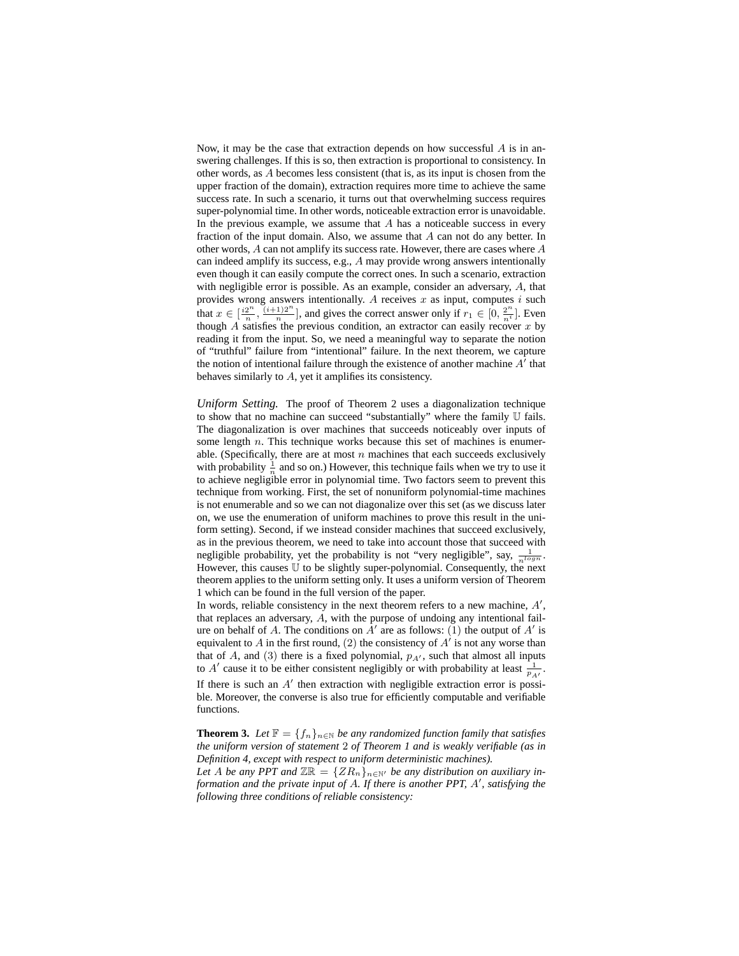Now, it may be the case that extraction depends on how successful  $\vec{A}$  is in answering challenges. If this is so, then extraction is proportional to consistency. In other words, as A becomes less consistent (that is, as its input is chosen from the upper fraction of the domain), extraction requires more time to achieve the same success rate. In such a scenario, it turns out that overwhelming success requires super-polynomial time. In other words, noticeable extraction error is unavoidable. In the previous example, we assume that  $A$  has a noticeable success in every fraction of the input domain. Also, we assume that A can not do any better. In other words, A can not amplify its success rate. However, there are cases where A can indeed amplify its success, e.g., A may provide wrong answers intentionally even though it can easily compute the correct ones. In such a scenario, extraction with negligible error is possible. As an example, consider an adversary, A, that provides wrong answers intentionally. A receives  $x$  as input, computes  $i$  such that  $x \in \left[\frac{i2^n}{n}\right]$  $\frac{2^n}{n}$ ,  $\frac{(i+1)2^n}{n}$ , and gives the correct answer only if  $r_1 \in [0, \frac{2^n}{n^i}]$ . Even though A satisfies the previous condition, an extractor can easily recover x by reading it from the input. So, we need a meaningful way to separate the notion of "truthful" failure from "intentional" failure. In the next theorem, we capture the notion of intentional failure through the existence of another machine  $A^{\dagger}$  that behaves similarly to A, yet it amplifies its consistency.

*Uniform Setting.* The proof of Theorem 2 uses a diagonalization technique to show that no machine can succeed "substantially" where the family U fails. The diagonalization is over machines that succeeds noticeably over inputs of some length  $n$ . This technique works because this set of machines is enumerable. (Specifically, there are at most  $n$  machines that each succeeds exclusively with probability  $\frac{1}{n}$  and so on.) However, this technique fails when we try to use it to achieve negligible error in polynomial time. Two factors seem to prevent this technique from working. First, the set of nonuniform polynomial-time machines is not enumerable and so we can not diagonalize over this set (as we discuss later on, we use the enumeration of uniform machines to prove this result in the uniform setting). Second, if we instead consider machines that succeed exclusively, as in the previous theorem, we need to take into account those that succeed with negligible probability, yet the probability is not "very negligible", say,  $\frac{1}{n^{log n}}$ . However, this causes  $U$  to be slightly super-polynomial. Consequently, the next theorem applies to the uniform setting only. It uses a uniform version of Theorem 1 which can be found in the full version of the paper.

In words, reliable consistency in the next theorem refers to a new machine,  $A'$ , that replaces an adversary, A, with the purpose of undoing any intentional failure on behalf of A. The conditions on  $A'$  are as follows: (1) the output of  $A'$  is equivalent to A in the first round, (2) the consistency of  $A<sup>'</sup>$  is not any worse than that of A, and (3) there is a fixed polynomial,  $p_{A'}$ , such that almost all inputs to A' cause it to be either consistent negligibly or with probability at least  $\frac{1}{p_{A'}}$ .

If there is such an  $A'$  then extraction with negligible extraction error is possible. Moreover, the converse is also true for efficiently computable and verifiable functions.

**Theorem 3.** *Let*  $\mathbb{F} = \{f_n\}_{n \in \mathbb{N}}$  *be any randomized function family that satisfies the uniform version of statement* 2 *of Theorem 1 and is weakly verifiable (as in Definition 4, except with respect to uniform deterministic machines).*

Let A be any PPT and  $\mathbb{Z}\mathbb{R} = \{ZR_n\}_{n\in\mathbb{N}'}$  be any distribution on auxiliary information and the private input of A. If there is another PPT, A', satisfying the *following three conditions of reliable consistency:*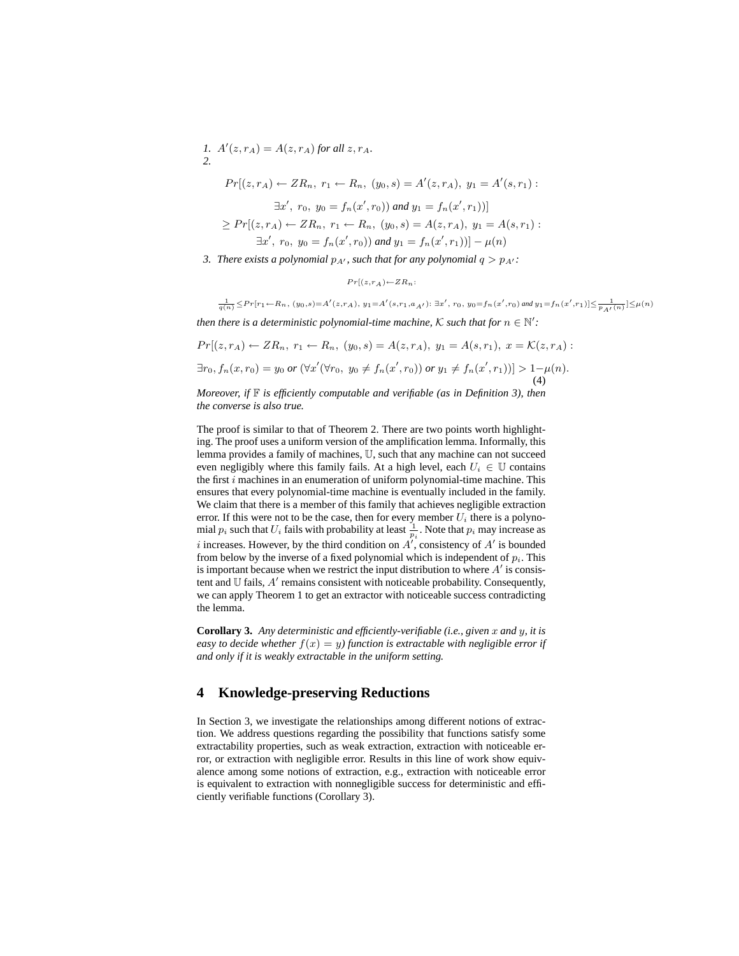1. 
$$
A'(z,r_A) = A(z,r_A)
$$
 for all  $z, r_A$ .  
\n2. 
$$
Pr[(z,r_A) \leftarrow ZR_n, r_1 \leftarrow R_n, (y_0, s) = A'(z,r_A), y_1 = A'(s,r_1):
$$
\n
$$
\exists x', r_0, y_0 = f_n(x',r_0)) \text{ and } y_1 = f_n(x',r_1))]
$$
\n
$$
\geq Pr[(z,r_A) \leftarrow ZR_n, r_1 \leftarrow R_n, (y_0, s) = A(z,r_A), y_1 = A(s,r_1):
$$
\n
$$
\exists x', r_0, y_0 = f_n(x',r_0)) \text{ and } y_1 = f_n(x',r_1))] - \mu(n)
$$

*3. There exists a polynomial*  $p_{A'}$ , such that for any polynomial  $q > p_{A'}$ :

 $Pr[(z,r_A) \leftarrow ZR_n$ :

 $\frac{1}{q(n)} \leq Pr[r_1 - R_n, (y_0, s) = A'(z, r_A), y_1 = A'(s, r_1, a_{A'}): \exists x', r_0, y_0 = f_n(x', r_0) \text{ and } y_1 = f_n(x', r_1)] \leq \frac{1}{p_{A'}(n)} \leq \mu(n)$ *then there is a deterministic polynomial-time machine,*  $K$  *such that for*  $n \in \mathbb{N}'$ :

$$
Pr[(z, r_A) \leftarrow ZR_n, r_1 \leftarrow R_n, (y_0, s) = A(z, r_A), y_1 = A(s, r_1), x = K(z, r_A) :
$$
  

$$
\exists r_0, f_n(x, r_0) = y_0 \text{ or } (\forall x'(\forall r_0, y_0 \neq f_n(x', r_0)) \text{ or } y_1 \neq f_n(x', r_1))] > 1 - \mu(n).
$$
  
*Margaux if*  $\mathbb{F}$  *is efficiently computable and variables (as in Definition 3) then*

*Moreover, if* F *is efficiently computable and verifiable (as in Definition 3), then the converse is also true.*

The proof is similar to that of Theorem 2. There are two points worth highlighting. The proof uses a uniform version of the amplification lemma. Informally, this lemma provides a family of machines, U, such that any machine can not succeed even negligibly where this family fails. At a high level, each  $U_i \in \mathbb{U}$  contains the first  $i$  machines in an enumeration of uniform polynomial-time machine. This ensures that every polynomial-time machine is eventually included in the family. We claim that there is a member of this family that achieves negligible extraction error. If this were not to be the case, then for every member  $U_i$  there is a polynomial  $p_i$  such that  $U_i$  fails with probability at least  $\frac{1}{p_i}$ . Note that  $p_i$  may increase as i increases. However, by the third condition on  $\overrightarrow{A}$ , consistency of  $\overrightarrow{A}$  is bounded from below by the inverse of a fixed polynomial which is independent of  $p_i$ . This is important because when we restrict the input distribution to where  $A'$  is consistent and  $U$  fails,  $A'$  remains consistent with noticeable probability. Consequently, we can apply Theorem 1 to get an extractor with noticeable success contradicting the lemma.

**Corollary 3.** *Any deterministic and efficiently-verifiable (i.e., given* x *and* y*, it is easy to decide whether*  $f(x) = y$ *)* function is extractable with negligible error if *and only if it is weakly extractable in the uniform setting.*

# **4 Knowledge-preserving Reductions**

In Section 3, we investigate the relationships among different notions of extraction. We address questions regarding the possibility that functions satisfy some extractability properties, such as weak extraction, extraction with noticeable error, or extraction with negligible error. Results in this line of work show equivalence among some notions of extraction, e.g., extraction with noticeable error is equivalent to extraction with nonnegligible success for deterministic and efficiently verifiable functions (Corollary 3).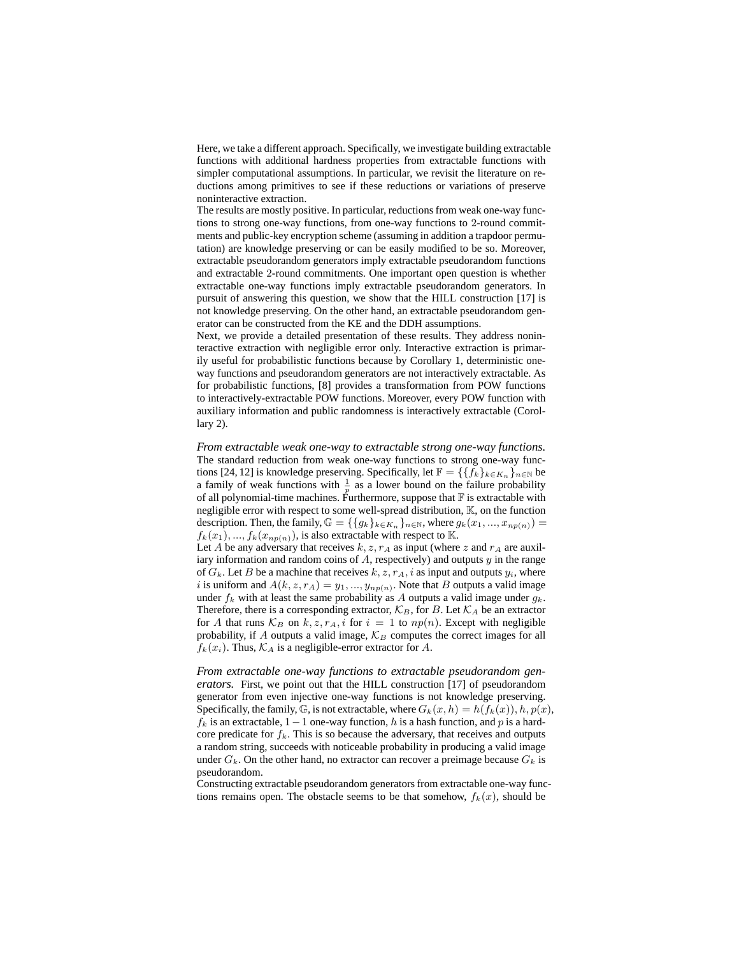Here, we take a different approach. Specifically, we investigate building extractable functions with additional hardness properties from extractable functions with simpler computational assumptions. In particular, we revisit the literature on reductions among primitives to see if these reductions or variations of preserve noninteractive extraction.

The results are mostly positive. In particular, reductions from weak one-way functions to strong one-way functions, from one-way functions to 2-round commitments and public-key encryption scheme (assuming in addition a trapdoor permutation) are knowledge preserving or can be easily modified to be so. Moreover, extractable pseudorandom generators imply extractable pseudorandom functions and extractable 2-round commitments. One important open question is whether extractable one-way functions imply extractable pseudorandom generators. In pursuit of answering this question, we show that the HILL construction [17] is not knowledge preserving. On the other hand, an extractable pseudorandom generator can be constructed from the KE and the DDH assumptions.

Next, we provide a detailed presentation of these results. They address noninteractive extraction with negligible error only. Interactive extraction is primarily useful for probabilistic functions because by Corollary 1, deterministic oneway functions and pseudorandom generators are not interactively extractable. As for probabilistic functions, [8] provides a transformation from POW functions to interactively-extractable POW functions. Moreover, every POW function with auxiliary information and public randomness is interactively extractable (Corollary 2).

*From extractable weak one-way to extractable strong one-way functions.* The standard reduction from weak one-way functions to strong one-way functions [24, 12] is knowledge preserving. Specifically, let  $\mathbb{F} = \{\{f_k\}_{k \in K_n}\}_{n \in \mathbb{N}}$  be a family of weak functions with  $\frac{1}{p}$  as a lower bound on the failure probability of all polynomial-time machines. Furthermore, suppose that  $F$  is extractable with negligible error with respect to some well-spread distribution, K, on the function description. Then, the family,  $\mathbb{G} = \{\{g_k\}_{k\in K_n}\}_{n\in \mathbb{N}}$ , where  $g_k(x_1, ..., x_{np(n)}) =$  $f_k(x_1),..., f_k(x_{np(n)})$ , is also extractable with respect to K.

Let A be any adversary that receives  $k, z, r_A$  as input (where z and  $r_A$  are auxiliary information and random coins of  $A$ , respectively) and outputs  $y$  in the range of  $G_k$ . Let B be a machine that receives  $k, z, r_A, i$  as input and outputs  $y_i$ , where i is uniform and  $A(k, z, r_A) = y_1, ..., y_{np(n)}$ . Note that B outputs a valid image under  $f_k$  with at least the same probability as A outputs a valid image under  $g_k$ . Therefore, there is a corresponding extractor,  $\mathcal{K}_B$ , for B. Let  $\mathcal{K}_A$  be an extractor for A that runs  $\mathcal{K}_B$  on  $k, z, r_A, i$  for  $i = 1$  to  $np(n)$ . Except with negligible probability, if A outputs a valid image,  $\mathcal{K}_B$  computes the correct images for all  $f_k(x_i)$ . Thus,  $\mathcal{K}_A$  is a negligible-error extractor for A.

*From extractable one-way functions to extractable pseudorandom generators.* First, we point out that the HILL construction [17] of pseudorandom generator from even injective one-way functions is not knowledge preserving. Specifically, the family,  $\mathbb{G}$ , is not extractable, where  $G_k(x, h) = h(f_k(x)), h, p(x)$ ,  $f_k$  is an extractable, 1 – 1 one-way function, h is a hash function, and p is a hardcore predicate for  $f_k$ . This is so because the adversary, that receives and outputs a random string, succeeds with noticeable probability in producing a valid image under  $G_k$ . On the other hand, no extractor can recover a preimage because  $G_k$  is pseudorandom.

Constructing extractable pseudorandom generators from extractable one-way functions remains open. The obstacle seems to be that somehow,  $f_k(x)$ , should be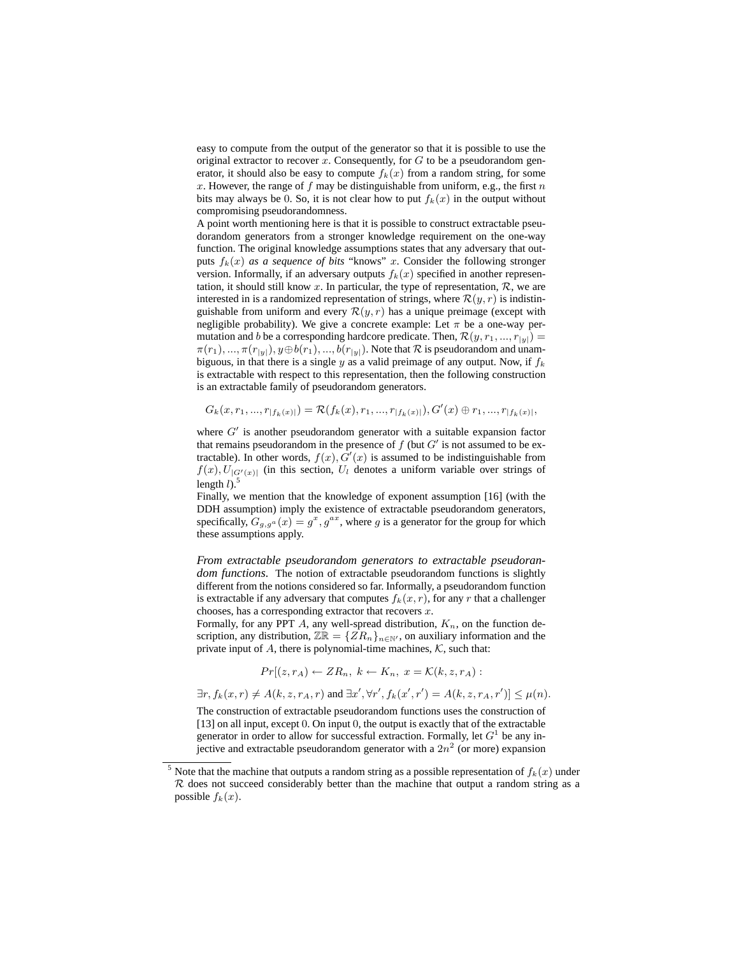easy to compute from the output of the generator so that it is possible to use the original extractor to recover x. Consequently, for  $G$  to be a pseudorandom generator, it should also be easy to compute  $f_k(x)$  from a random string, for some x. However, the range of  $f$  may be distinguishable from uniform, e.g., the first  $n$ bits may always be 0. So, it is not clear how to put  $f_k(x)$  in the output without compromising pseudorandomness.

A point worth mentioning here is that it is possible to construct extractable pseudorandom generators from a stronger knowledge requirement on the one-way function. The original knowledge assumptions states that any adversary that outputs  $f_k(x)$  *as a sequence of bits* "knows" x. Consider the following stronger version. Informally, if an adversary outputs  $f_k(x)$  specified in another representation, it should still know x. In particular, the type of representation,  $\mathcal{R}$ , we are interested in is a randomized representation of strings, where  $\mathcal{R}(y, r)$  is indistinguishable from uniform and every  $\mathcal{R}(y, r)$  has a unique preimage (except with negligible probability). We give a concrete example: Let  $\pi$  be a one-way permutation and b be a corresponding hardcore predicate. Then,  $\mathcal{R}(y, r_1, ..., r_{|y|}) =$  $\pi(r_1), ..., \pi(r_{|y|}), y \oplus b(r_1), ..., b(r_{|y|}).$  Note that  $\mathcal R$  is pseudorandom and unambiguous, in that there is a single y as a valid preimage of any output. Now, if  $f_k$ is extractable with respect to this representation, then the following construction is an extractable family of pseudorandom generators.

$$
G_k(x, r_1, ..., r_{|f_k(x)|}) = \mathcal{R}(f_k(x), r_1, ..., r_{|f_k(x)|}), G'(x) \oplus r_1, ..., r_{|f_k(x)|},
$$

where  $G'$  is another pseudorandom generator with a suitable expansion factor that remains pseudorandom in the presence of  $f$  (but  $G'$  is not assumed to be extractable). In other words,  $f(x)$ ,  $G'(x)$  is assumed to be indistinguishable from  $f(x)$ ,  $U_{|G'(x)|}$  (in this section,  $U_l$  denotes a uniform variable over strings of length  $l$ ).<sup>5</sup>

Finally, we mention that the knowledge of exponent assumption [16] (with the DDH assumption) imply the existence of extractable pseudorandom generators, specifically,  $G_{g,g^a}(x) = g^x, g^{ax}$ , where g is a generator for the group for which these assumptions apply.

*From extractable pseudorandom generators to extractable pseudorandom functions.* The notion of extractable pseudorandom functions is slightly different from the notions considered so far. Informally, a pseudorandom function is extractable if any adversary that computes  $f_k(x, r)$ , for any r that a challenger chooses, has a corresponding extractor that recovers  $x$ .

Formally, for any PPT A, any well-spread distribution,  $K_n$ , on the function description, any distribution,  $\mathbb{Z}\mathbb{R} = \{ZR_n\}_{n\in\mathbb{N}'}$ , on auxiliary information and the private input of  $A$ , there is polynomial-time machines,  $K$ , such that:

$$
Pr[(z, r_A) \leftarrow ZR_n, k \leftarrow K_n, x = \mathcal{K}(k, z, r_A):
$$

$$
\exists r, f_k(x,r) \neq A(k,z,r_A,r) \text{ and } \exists x', \forall r', f_k(x',r') = A(k,z,r_A,r') \leq \mu(n).
$$

The construction of extractable pseudorandom functions uses the construction of [13] on all input, except 0. On input 0, the output is exactly that of the extractable generator in order to allow for successful extraction. Formally, let  $G<sup>1</sup>$  be any injective and extractable pseudorandom generator with a  $2n^2$  (or more) expansion

<sup>&</sup>lt;sup>5</sup> Note that the machine that outputs a random string as a possible representation of  $f_k(x)$  under  $R$  does not succeed considerably better than the machine that output a random string as a possible  $f_k(x)$ .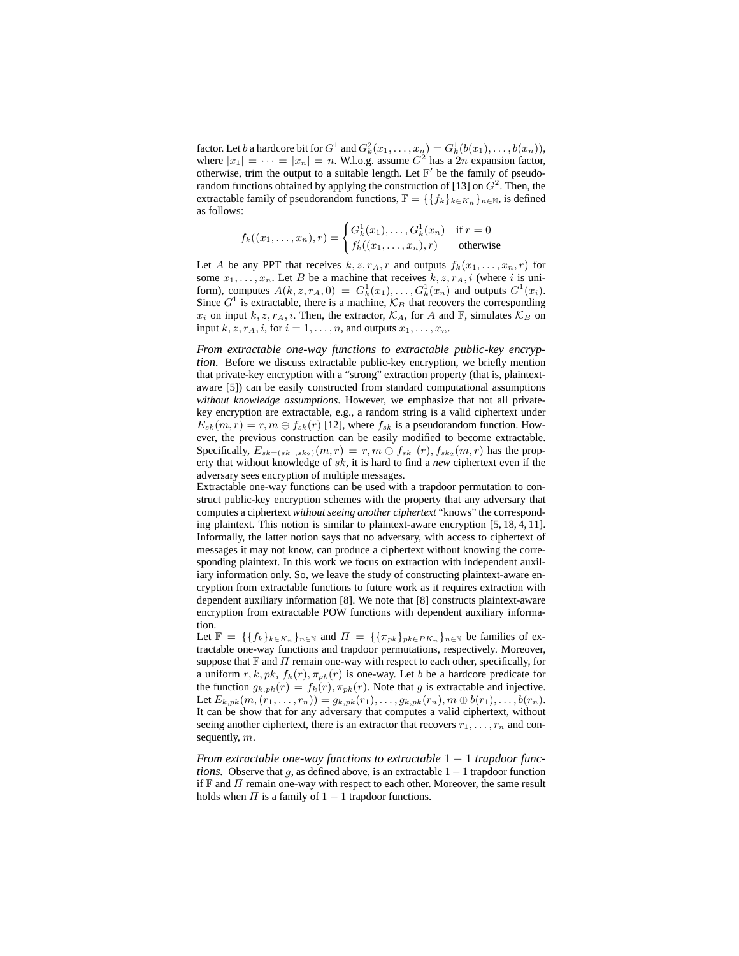factor. Let b a hardcore bit for  $G^1$  and  $G_k^2(x_1, \ldots, x_n) = G_k^1(b(x_1), \ldots, b(x_n)),$ where  $|x_1| = \cdots = |x_n| = n$ . W.l.o.g. assume  $G^2$  has a  $2n$  expansion factor, otherwise, trim the output to a suitable length. Let  $\mathbb{F}'$  be the family of pseudorandom functions obtained by applying the construction of [13] on  $G^2$ . Then, the extractable family of pseudorandom functions,  $\mathbb{F} = \{\{f_k\}_{k \in K_n}\}_{n \in \mathbb{N}}$ , is defined as follows:

$$
f_k((x_1,\ldots,x_n),r) = \begin{cases} G_k^1(x_1),\ldots,G_k^1(x_n) & \text{if } r = 0\\ f'_k((x_1,\ldots,x_n),r) & \text{otherwise} \end{cases}
$$

Let A be any PPT that receives  $k, z, r_A, r$  and outputs  $f_k(x_1, \ldots, x_n, r)$  for some  $x_1, \ldots, x_n$ . Let B be a machine that receives  $k, z, r_A, i$  (where i is uniform), computes  $A(k, z, r_A, 0) = G_k^1(x_1), \ldots, G_k^1(x_n)$  and outputs  $G^1(x_i)$ . Since  $G^1$  is extractable, there is a machine,  $\mathcal{K}_B$  that recovers the corresponding  $x_i$  on input  $k, z, r_A, i$ . Then, the extractor,  $\mathcal{K}_A$ , for A and F, simulates  $\mathcal{K}_B$  on input  $k, z, r_A, i$ , for  $i = 1, \ldots, n$ , and outputs  $x_1, \ldots, x_n$ .

*From extractable one-way functions to extractable public-key encryption.* Before we discuss extractable public-key encryption, we briefly mention that private-key encryption with a "strong" extraction property (that is, plaintextaware [5]) can be easily constructed from standard computational assumptions *without knowledge assumptions*. However, we emphasize that not all privatekey encryption are extractable, e.g., a random string is a valid ciphertext under  $E_{sk}(m, r) = r, m \oplus f_{sk}(r)$  [12], where  $f_{sk}$  is a pseudorandom function. However, the previous construction can be easily modified to become extractable. Specifically,  $E_{sk=(sk_1,sk_2)}(m,r) = r, m \oplus f_{sk_1}(r), f_{sk_2}(m,r)$  has the property that without knowledge of sk, it is hard to find a *new* ciphertext even if the adversary sees encryption of multiple messages.

Extractable one-way functions can be used with a trapdoor permutation to construct public-key encryption schemes with the property that any adversary that computes a ciphertext *without seeing another ciphertext* "knows" the corresponding plaintext. This notion is similar to plaintext-aware encryption [5, 18, 4, 11]. Informally, the latter notion says that no adversary, with access to ciphertext of messages it may not know, can produce a ciphertext without knowing the corresponding plaintext. In this work we focus on extraction with independent auxiliary information only. So, we leave the study of constructing plaintext-aware encryption from extractable functions to future work as it requires extraction with dependent auxiliary information [8]. We note that [8] constructs plaintext-aware encryption from extractable POW functions with dependent auxiliary information.

Let  $\mathbb{F} = \{\{f_k\}_{k \in K_n}\}_{n \in \mathbb{N}}$  and  $\Pi = \{\{\pi_{pk}\}_{pk \in PK_n}\}_{n \in \mathbb{N}}$  be families of extractable one-way functions and trapdoor permutations, respectively. Moreover, suppose that  $F$  and  $\Pi$  remain one-way with respect to each other, specifically, for a uniform  $r, k, pk, f_k(r), \pi_{pk}(r)$  is one-way. Let b be a hardcore predicate for the function  $g_{k,pk}(r) = f_k(r), \pi_{pk}(r)$ . Note that g is extractable and injective. Let  $E_{k,pk}(m, (r_1, \ldots, r_n)) = g_{k,pk}(r_1), \ldots, g_{k,pk}(r_n), m \oplus b(r_1), \ldots, b(r_n).$ It can be show that for any adversary that computes a valid ciphertext, without seeing another ciphertext, there is an extractor that recovers  $r_1, \ldots, r_n$  and consequently,  $m$ .

*From extractable one-way functions to extractable* 1 − 1 *trapdoor functions.* Observe that g, as defined above, is an extractable  $1 - 1$  trapdoor function if  $F$  and  $\Pi$  remain one-way with respect to each other. Moreover, the same result holds when  $\Pi$  is a family of  $1 - 1$  trapdoor functions.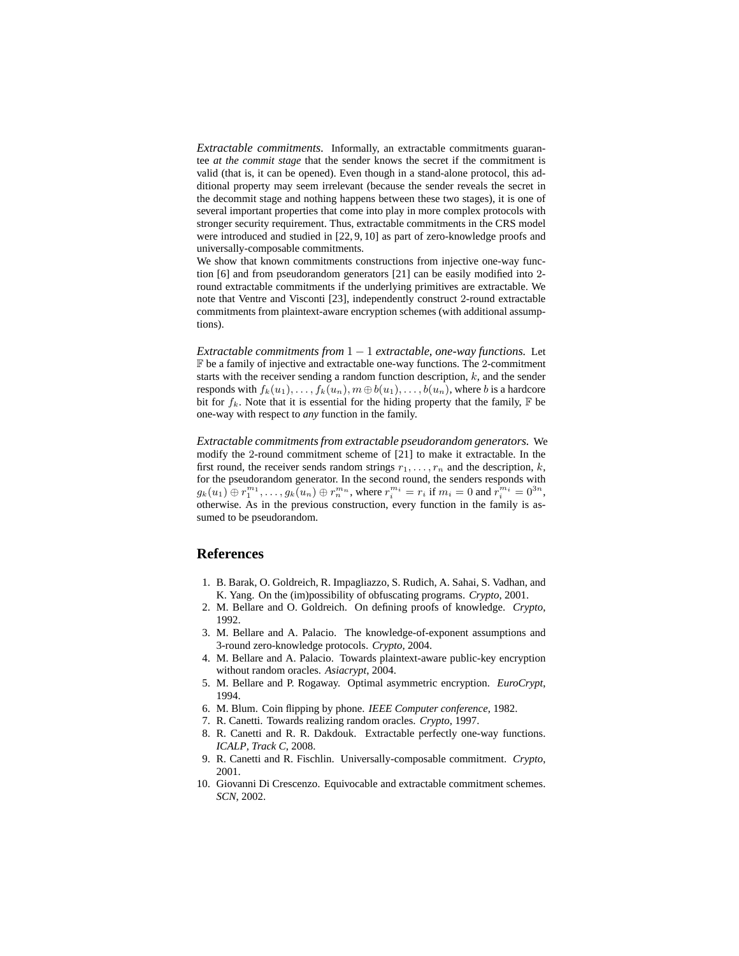*Extractable commitments.* Informally, an extractable commitments guarantee *at the commit stage* that the sender knows the secret if the commitment is valid (that is, it can be opened). Even though in a stand-alone protocol, this additional property may seem irrelevant (because the sender reveals the secret in the decommit stage and nothing happens between these two stages), it is one of several important properties that come into play in more complex protocols with stronger security requirement. Thus, extractable commitments in the CRS model were introduced and studied in [22, 9, 10] as part of zero-knowledge proofs and universally-composable commitments.

We show that known commitments constructions from injective one-way function [6] and from pseudorandom generators [21] can be easily modified into 2 round extractable commitments if the underlying primitives are extractable. We note that Ventre and Visconti [23], independently construct 2-round extractable commitments from plaintext-aware encryption schemes (with additional assumptions).

*Extractable commitments from* 1 − 1 *extractable, one-way functions.* Let F be a family of injective and extractable one-way functions. The 2-commitment starts with the receiver sending a random function description,  $k$ , and the sender responds with  $f_k(u_1), \ldots, f_k(u_n), m \oplus b(u_1), \ldots, b(u_n)$ , where b is a hardcore bit for  $f_k$ . Note that it is essential for the hiding property that the family,  $\mathbb F$  be one-way with respect to *any* function in the family.

*Extractable commitments from extractable pseudorandom generators.* We modify the 2-round commitment scheme of [21] to make it extractable. In the first round, the receiver sends random strings  $r_1, \ldots, r_n$  and the description, k, for the pseudorandom generator. In the second round, the senders responds with  $g_k(u_1) \oplus r_1^{m_1}, \ldots, g_k(u_n) \oplus r_n^{m_n}$ , where  $r_i^{m_i} = r_i$  if  $m_i = 0$  and  $r_i^{m_i} = 0^{3n}$ , otherwise. As in the previous construction, every function in the family is assumed to be pseudorandom.

### **References**

- 1. B. Barak, O. Goldreich, R. Impagliazzo, S. Rudich, A. Sahai, S. Vadhan, and K. Yang. On the (im)possibility of obfuscating programs. *Crypto*, 2001.
- 2. M. Bellare and O. Goldreich. On defining proofs of knowledge. *Crypto*, 1992.
- 3. M. Bellare and A. Palacio. The knowledge-of-exponent assumptions and 3-round zero-knowledge protocols. *Crypto*, 2004.
- 4. M. Bellare and A. Palacio. Towards plaintext-aware public-key encryption without random oracles. *Asiacrypt*, 2004.
- 5. M. Bellare and P. Rogaway. Optimal asymmetric encryption. *EuroCrypt*, 1994.
- 6. M. Blum. Coin flipping by phone. *IEEE Computer conference*, 1982.
- 7. R. Canetti. Towards realizing random oracles. *Crypto*, 1997.
- 8. R. Canetti and R. R. Dakdouk. Extractable perfectly one-way functions. *ICALP, Track C*, 2008.
- 9. R. Canetti and R. Fischlin. Universally-composable commitment. *Crypto*, 2001.
- 10. Giovanni Di Crescenzo. Equivocable and extractable commitment schemes. *SCN*, 2002.